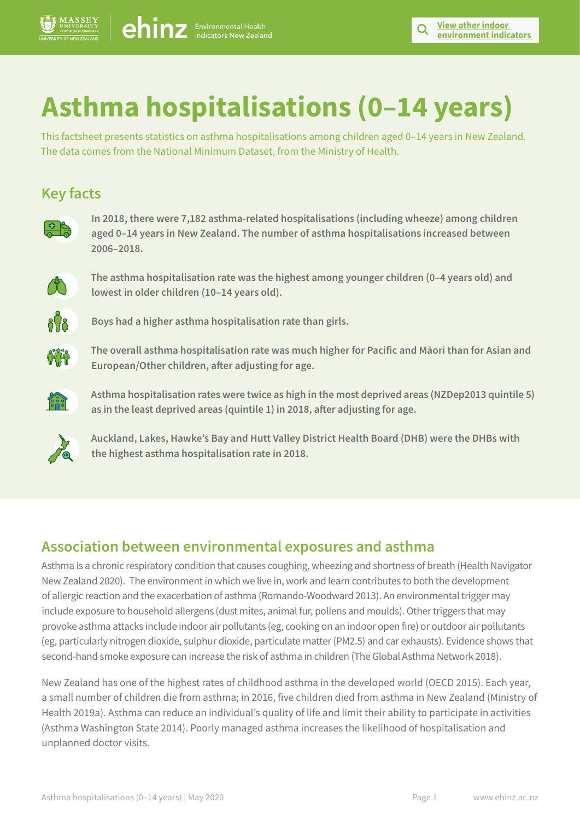# **Asthma hospitalisations (0–14 years)**

This factsheet presents statistics on asthma hospitalisations among children aged 0–14 years in New Zealand. The data comes from the National Minimum Dataset, from the Ministry of Health.

# **Key facts**



**In 2018, there were 7,182 asthma-related hospitalisations (including wheeze) among children aged 0–14 years in New Zealand. The number of asthma hospitalisations increased between 2006–2018.** 



**The asthma hospitalisation rate was the highest among younger children (0–4 years old) and lowest in older children (10–14 years old).** 



**Boys had a higher asthma hospitalisation rate than girls.** 



**The overall asthma hospitalisation rate was much higher for Pacific and Māori than for Asian and European/Other children, after adjusting for age.** 



**Asthma hospitalisation rates were twice as high in the most deprived areas (NZDep2013 quintile 5) as in the least deprived areas (quintile 1) in 2018, after adjusting for age.** 



**Auckland, Lakes, Hawke's Bay and Hutt Valley District Health Board (DHB) were the DHBs with the highest asthma hospitalisation rate in 2018.**

# **Association between environmental exposures and asthma**

Asthma is a chronic respiratory condition that causes coughing, wheezing and shortness of breath (Health Navigator New Zealand 2020). The environment in which we live in, work and learn contributes to both the development of allergic reaction and the exacerbation of asthma (Romando-Woodward 2013). An environmental trigger may include exposure to household allergens (dust mites, animal fur, pollens and moulds). Other triggers that may provoke asthma attacks include indoor air pollutants (eg, cooking on an indoor open fire) or outdoor air pollutants (eg, particularly nitrogen dioxide, sulphur dioxide, particulate matter (PM2.5) and car exhausts). Evidence shows that second-hand smoke exposure can increase the risk of asthma in children (The Global Asthma Network 2018).

New Zealand has one of the highest rates of childhood asthma in the developed world (OECD 2015). Each year, a small number of children die from asthma; in 2016, five children died from asthma in New Zealand (Ministry of Health 2019a). Asthma can reduce an individual's quality of life and limit their ability to participate in activities (Asthma Washington State 2014). Poorly managed asthma increases the likelihood of hospitalisation and unplanned doctor visits.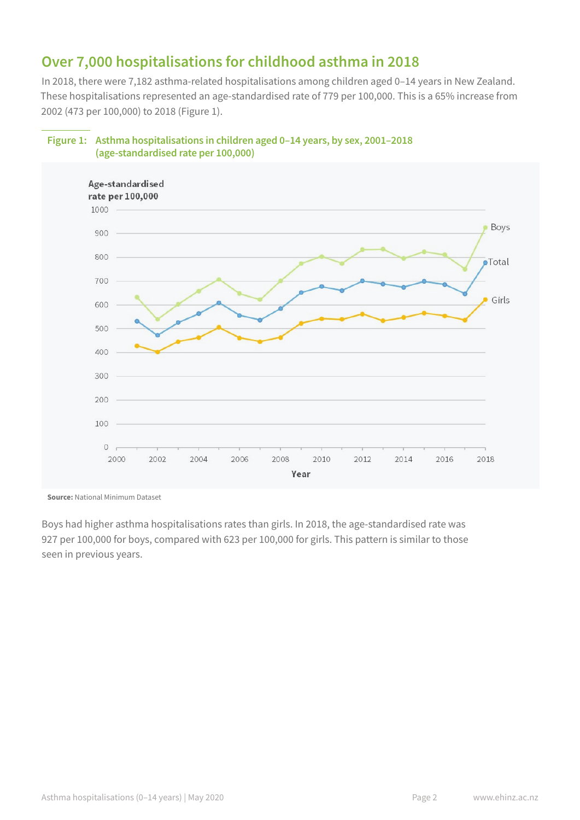# **Over 7,000 hospitalisations for childhood asthma in 2018**

In 2018, there were 7,182 asthma-related hospitalisations among children aged 0–14 years in New Zealand. These hospitalisations represented an age-standardised rate of 779 per 100,000. This is a 65% increase from 2002 (473 per 100,000) to 2018 (Figure 1).



#### **Figure 1: Asthma hospitalisations in children aged 0–14 years, by sex, 2001–2018 (age-standardised rate per 100,000)**

**Source:** National Minimum Dataset

Boys had higher asthma hospitalisations rates than girls. In 2018, the age-standardised rate was 927 per 100,000 for boys, compared with 623 per 100,000 for girls. This pattern is similar to those seen in previous years.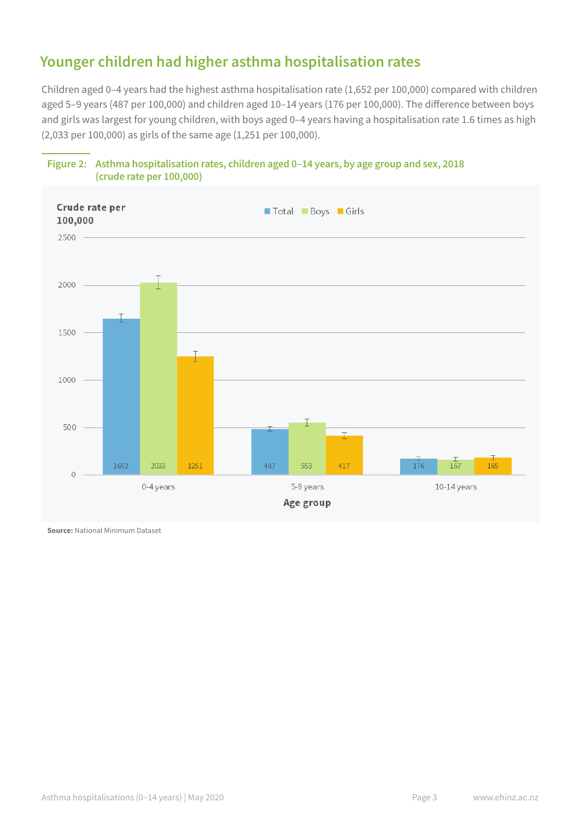# **Younger children had higher asthma hospitalisation rates**

Children aged 0–4 years had the highest asthma hospitalisation rate (1,652 per 100,000) compared with children aged 5–9 years (487 per 100,000) and children aged 10–14 years (176 per 100,000). The difference between boys and girls was largest for young children, with boys aged 0–4 years having a hospitalisation rate 1.6 times as high (2,033 per 100,000) as girls of the same age (1,251 per 100,000).



#### **Figure 2: Asthma hospitalisation rates, children aged 0–14 years, by age group and sex, 2018 (crude rate per 100,000)**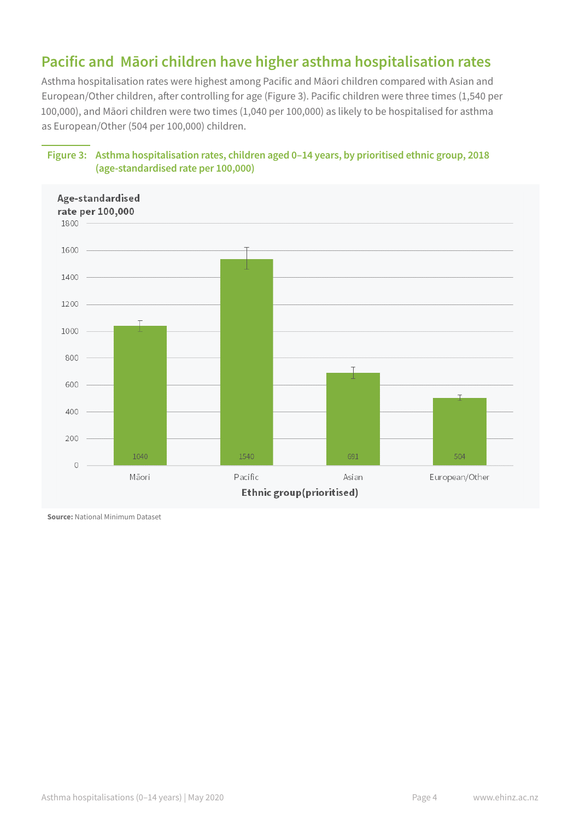# **Pacific and Māori children have higher asthma hospitalisation rates**

Asthma hospitalisation rates were highest among Pacific and Māori children compared with Asian and European/Other children, after controlling for age (Figure 3). Pacific children were three times (1,540 per 100,000), and Māori children were two times (1,040 per 100,000) as likely to be hospitalised for asthma as European/Other (504 per 100,000) children.



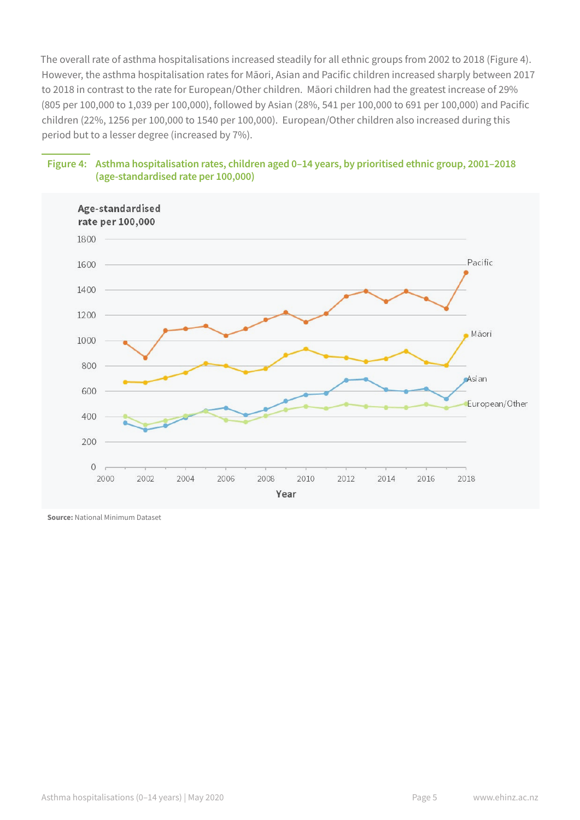The overall rate of asthma hospitalisations increased steadily for all ethnic groups from 2002 to 2018 (Figure 4). However, the asthma hospitalisation rates for Māori, Asian and Pacific children increased sharply between 2017 to 2018 in contrast to the rate for European/Other children. Māori children had the greatest increase of 29% (805 per 100,000 to 1,039 per 100,000), followed by Asian (28%, 541 per 100,000 to 691 per 100,000) and Pacific children (22%, 1256 per 100,000 to 1540 per 100,000). European/Other children also increased during this period but to a lesser degree (increased by 7%).



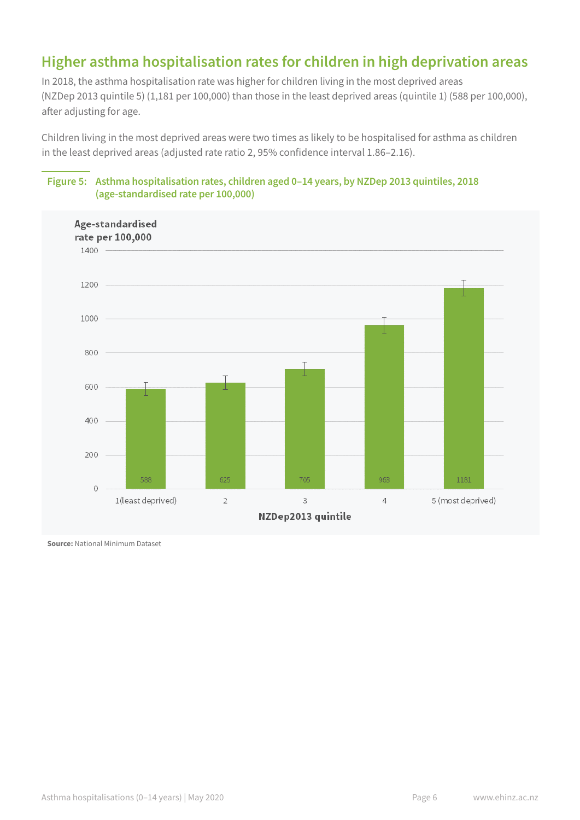# **Higher asthma hospitalisation rates for children in high deprivation areas**

In 2018, the asthma hospitalisation rate was higher for children living in the most deprived areas (NZDep 2013 quintile 5) (1,181 per 100,000) than those in the least deprived areas (quintile 1) (588 per 100,000), after adjusting for age.

Children living in the most deprived areas were two times as likely to be hospitalised for asthma as children in the least deprived areas (adjusted rate ratio 2, 95% confidence interval 1.86–2.16).



#### **Figure 5: Asthma hospitalisation rates, children aged 0–14 years, by NZDep 2013 quintiles, 2018 (age-standardised rate per 100,000)**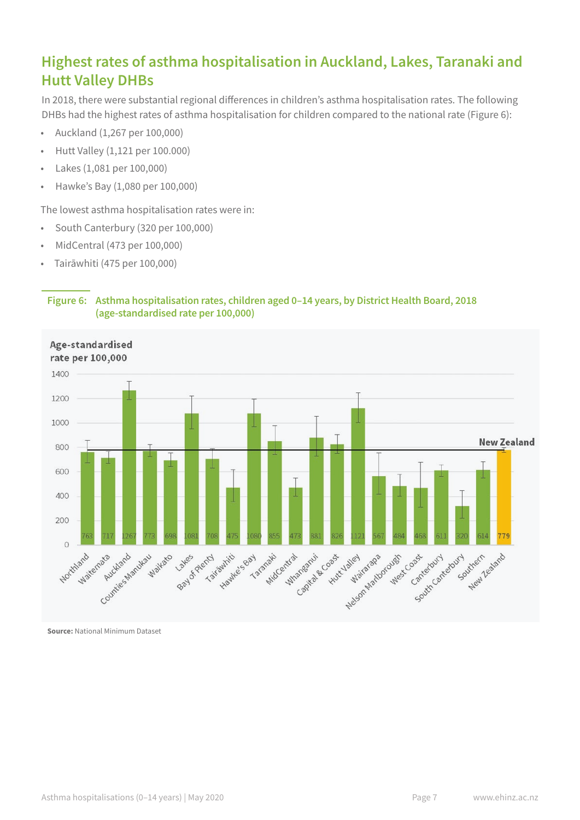# **Highest rates of asthma hospitalisation in Auckland, Lakes, Taranaki and Hutt Valley DHBs**

In 2018, there were substantial regional differences in children's asthma hospitalisation rates. The following DHBs had the highest rates of asthma hospitalisation for children compared to the national rate (Figure 6):

- Auckland (1,267 per 100,000)
- Hutt Valley (1,121 per 100.000)
- Lakes (1,081 per 100,000)
- Hawke's Bay (1,080 per 100,000)

The lowest asthma hospitalisation rates were in:

- South Canterbury (320 per 100,000)
- MidCentral (473 per 100,000)
- Tairāwhiti (475 per 100,000)

#### **Figure 6: Asthma hospitalisation rates, children aged 0–14 years, by District Health Board, 2018 (age-standardised rate per 100,000)**

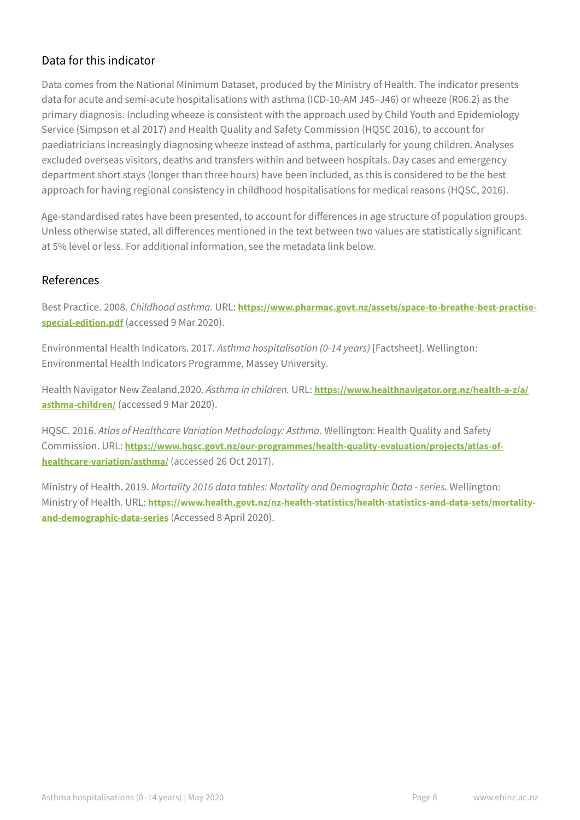# Data for this indicator

Data comes from the National Minimum Dataset, produced by the Ministry of Health. The indicator presents data for acute and semi-acute hospitalisations with asthma (ICD-10-AM J45–J46) or wheeze (R06.2) as the primary diagnosis. Including wheeze is consistent with the approach used by Child Youth and Epidemiology Service (Simpson et al 2017) and Health Quality and Safety Commission (HQSC 2016), to account for paediatricians increasingly diagnosing wheeze instead of asthma, particularly for young children. Analyses excluded overseas visitors, deaths and transfers within and between hospitals. Day cases and emergency department short stays (longer than three hours) have been included, as this is considered to be the best approach for having regional consistency in childhood hospitalisations for medical reasons (HQSC, 2016).

Age-standardised rates have been presented, to account for differences in age structure of population groups. Unless otherwise stated, all differences mentioned in the text between two values are statistically significant at 5% level or less. For additional information, see the metadata link below.

## References

Best Practice. 2008. *Childhood asthma.* URL: **[https://www.pharmac.govt.nz/assets/space-to-breathe-best-practise](https://www.pharmac.govt.nz/assets/space-to-breathe-best-practise-special-edition.pdf)[special-edition.pdf](https://www.pharmac.govt.nz/assets/space-to-breathe-best-practise-special-edition.pdf)** (accessed 9 Mar 2020).

Environmental Health Indicators. 2017. *Asthma hospitalisation (0-14 years)* [Factsheet]. Wellington: Environmental Health Indicators Programme, Massey University.

Health Navigator New Zealand.2020. *Asthma in children.* URL: **[https://www.healthnavigator.org.nz/health-a-z/a/](https://www.healthnavigator.org.nz/health-a-z/a/asthma-children/) [asthma-children/](https://www.healthnavigator.org.nz/health-a-z/a/asthma-children/)** (accessed 9 Mar 2020).

HQSC. 2016. *Atlas of Healthcare Variation Methodology: Asthma.* Wellington: Health Quality and Safety Commission. URL: **[https://www.hqsc.govt.nz/our-programmes/health-quality-evaluation/projects/atlas-of](https://www.hqsc.govt.nz/our-programmes/health-quality-evaluation/projects/atlas-of-healthcare-variation/asthma/)[healthcare-variation/asthma/](https://www.hqsc.govt.nz/our-programmes/health-quality-evaluation/projects/atlas-of-healthcare-variation/asthma/)** (accessed 26 Oct 2017).

Ministry of Health. 2019. *Mortality 2016 data tables: Mortality and Demographic Data - series.* Wellington: Ministry of Health. URL: **[https://www.health.govt.nz/nz-health-statistics/health-statistics-and-data-sets/mortality](https://www.health.govt.nz/nz-health-statistics/health-statistics-and-data-sets/mortality-and-demographic-data-series)[and-demographic-data-series](https://www.health.govt.nz/nz-health-statistics/health-statistics-and-data-sets/mortality-and-demographic-data-series)** (Accessed 8 April 2020).